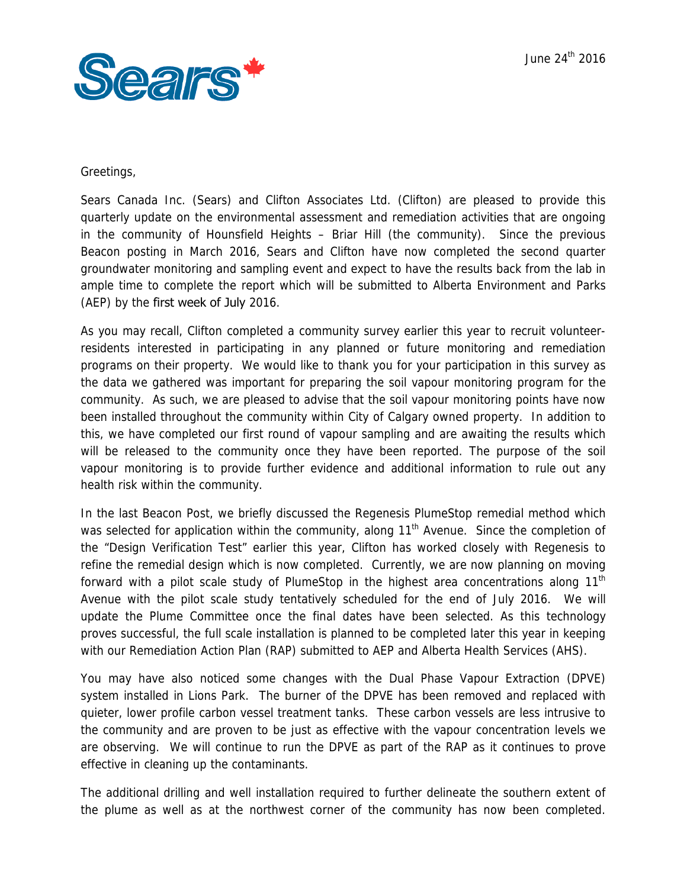

## Greetings,

 groundwater monitoring and sampling event and expect to have the results back from the lab in Sears Canada Inc. (Sears) and Clifton Associates Ltd. (Clifton) are pleased to provide this quarterly update on the environmental assessment and remediation activities that are ongoing in the community of Hounsfield Heights – Briar Hill (the community). Since the previous Beacon posting in March 2016, Sears and Clifton have now completed the second quarter ample time to complete the report which will be submitted to Alberta Environment and Parks (AEP) by the first week of July 2016.

As you may recall, Clifton completed a community survey earlier this year to recruit volunteerresidents interested in participating in any planned or future monitoring and remediation programs on their property. We would like to thank you for your participation in this survey as the data we gathered was important for preparing the soil vapour monitoring program for the community. As such, we are pleased to advise that the soil vapour monitoring points have now been installed throughout the community within City of Calgary owned property. In addition to this, we have completed our first round of vapour sampling and are awaiting the results which will be released to the community once they have been reported. The purpose of the soil vapour monitoring is to provide further evidence and additional information to rule out any health risk within the community.

In the last Beacon Post, we briefly discussed the Regenesis PlumeStop remedial method which was selected for application within the community, along  $11<sup>th</sup>$  Avenue. Since the completion of the "Design Verification Test" earlier this year, Clifton has worked closely with Regenesis to refine the remedial design which is now completed. Currently, we are now planning on moving forward with a pilot scale study of PlumeStop in the highest area concentrations along  $11<sup>th</sup>$ Avenue with the pilot scale study tentatively scheduled for the end of July 2016. We will update the Plume Committee once the final dates have been selected. As this technology proves successful, the full scale installation is planned to be completed later this year in keeping with our Remediation Action Plan (RAP) submitted to AEP and Alberta Health Services (AHS).

effective in cleaning up the contaminants. You may have also noticed some changes with the Dual Phase Vapour Extraction (DPVE) system installed in Lions Park. The burner of the DPVE has been removed and replaced with quieter, lower profile carbon vessel treatment tanks. These carbon vessels are less intrusive to the community and are proven to be just as effective with the vapour concentration levels we are observing. We will continue to run the DPVE as part of the RAP as it continues to prove

The additional drilling and well installation required to further delineate the southern extent of the plume as well as at the northwest corner of the community has now been completed.